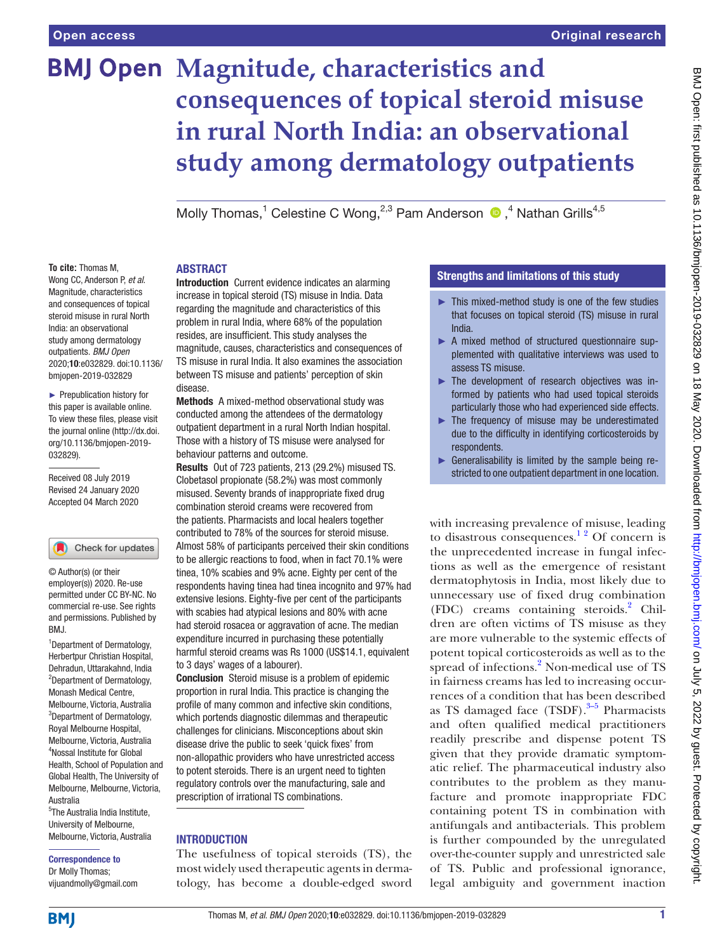# **BMJ Open Magnitude, characteristics and consequences of topical steroid misuse in rural North India: an observational study among dermatology outpatients**

Molly Thomas,<sup>1</sup> Celestine C Wong,<sup>2,3</sup> Pam Anderson <sup>®</sup>,<sup>4</sup> Nathan Grills<sup>4,5</sup>

#### **To cite:** Thomas M,

Wong CC, Anderson P, *et al*. Magnitude, characteristics and consequences of topical steroid misuse in rural North India: an observational study among dermatology outpatients. *BMJ Open* 2020;10:e032829. doi:10.1136/ bmjopen-2019-032829

► Prepublication history for this paper is available online. To view these files, please visit the journal online (http://dx.doi. org/10.1136/bmjopen-2019- 032829).

Received 08 July 2019 Revised 24 January 2020 Accepted 04 March 2020

#### Check for updates

© Author(s) (or their employer(s)) 2020. Re-use permitted under CC BY-NC. No commercial re-use. See rights and permissions. Published by BMJ.

1 Department of Dermatology, Herbertpur Christian Hospital, Dehradun, Uttarakahnd, India <sup>2</sup>Department of Dermatology, Monash Medical Centre, Melbourne, Victoria, Australia <sup>3</sup>Department of Dermatology, Royal Melbourne Hospital, Melbourne, Victoria, Australia 4 Nossal Institute for Global Health, School of Population and Global Health, The University of Melbourne, Melbourne, Victoria, Australia

5 The Australia India Institute, University of Melbourne, Melbourne, Victoria, Australia

#### Correspondence to

Dr Molly Thomas; vijuandmolly@gmail.com

# **ABSTRACT**

**Introduction** Current evidence indicates an alarming increase in topical steroid (TS) misuse in India. Data regarding the magnitude and characteristics of this problem in rural India, where 68% of the population resides, are insufficient. This study analyses the magnitude, causes, characteristics and consequences of TS misuse in rural India. It also examines the association between TS misuse and patients' perception of skin disease.

Methods A mixed-method observational study was conducted among the attendees of the dermatology outpatient department in a rural North Indian hospital. Those with a history of TS misuse were analysed for behaviour patterns and outcome.

Results Out of 723 patients, 213 (29.2%) misused TS. Clobetasol propionate (58.2%) was most commonly misused. Seventy brands of inappropriate fixed drug combination steroid creams were recovered from the patients. Pharmacists and local healers together contributed to 78% of the sources for steroid misuse. Almost 58% of participants perceived their skin conditions to be allergic reactions to food, when in fact 70.1% were tinea, 10% scabies and 9% acne. Eighty per cent of the respondents having tinea had tinea incognito and 97% had extensive lesions. Eighty-five per cent of the participants with scabies had atypical lesions and 80% with acne had steroid rosacea or aggravation of acne. The median expenditure incurred in purchasing these potentially harmful steroid creams was Rs 1000 (US\$14.1, equivalent to 3 days' wages of a labourer).

Conclusion Steroid misuse is a problem of epidemic proportion in rural India. This practice is changing the profile of many common and infective skin conditions, which portends diagnostic dilemmas and therapeutic challenges for clinicians. Misconceptions about skin disease drive the public to seek 'quick fixes' from non-allopathic providers who have unrestricted access to potent steroids. There is an urgent need to tighten regulatory controls over the manufacturing, sale and prescription of irrational TS combinations.

## **INTRODUCTION**

The usefulness of topical steroids (TS), the most widely used therapeutic agents in dermatology, has become a double-edged sword

## Strengths and limitations of this study

- ► This mixed-method study is one of the few studies that focuses on topical steroid (TS) misuse in rural India.
- ► A mixed method of structured questionnaire supplemented with qualitative interviews was used to assess TS misuse.
- ► The development of research objectives was informed by patients who had used topical steroids particularly those who had experienced side effects.
- $\blacktriangleright$  The frequency of misuse may be underestimated due to the difficulty in identifying corticosteroids by respondents.
- Generalisability is limited by the sample being restricted to one outpatient department in one location.

with increasing prevalence of misuse, leading to disastrous consequences.<sup>12</sup> Of concern is the unprecedented increase in fungal infections as well as the emergence of resistant dermatophytosis in India, most likely due to unnecessary use of fixed drug combination (FDC) creams containing steroids.<sup>[2](#page-6-1)</sup> Children are often victims of TS misuse as they are more vulnerable to the systemic effects of potent topical corticosteroids as well as to the spread of infections.<sup>[2](#page-6-1)</sup> Non-medical use of TS in fairness creams has led to increasing occurrences of a condition that has been described as TS damaged face  $(TSDF).$ <sup>3-5</sup> Pharmacists and often qualified medical practitioners readily prescribe and dispense potent TS given that they provide dramatic symptomatic relief. The pharmaceutical industry also contributes to the problem as they manufacture and promote inappropriate FDC containing potent TS in combination with antifungals and antibacterials. This problem is further compounded by the unregulated over-the-counter supply and unrestricted sale of TS. Public and professional ignorance, legal ambiguity and government inaction

**BMI**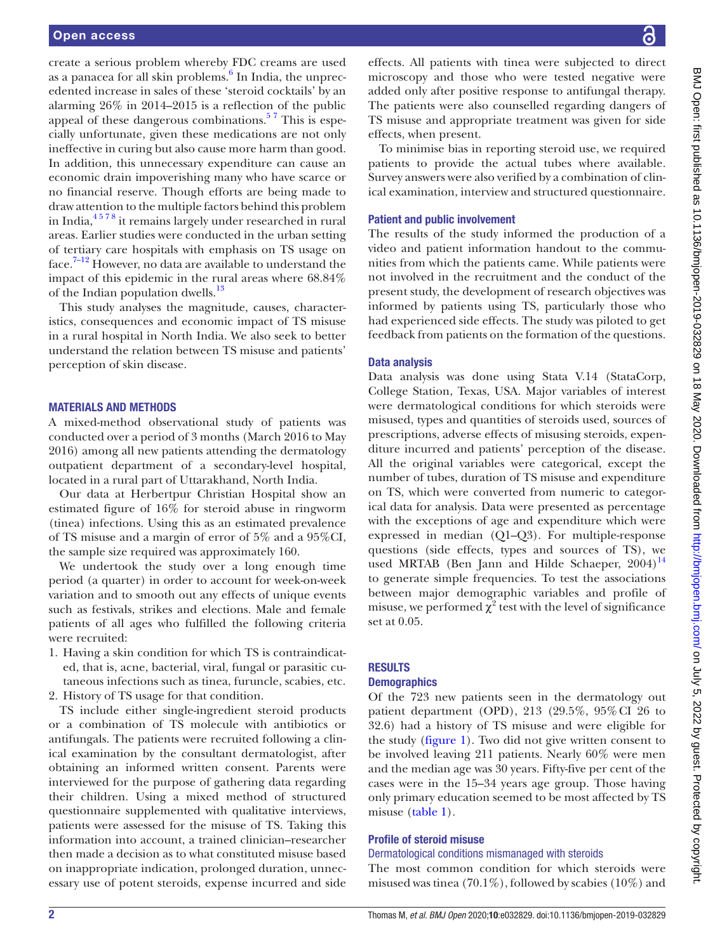create a serious problem whereby FDC creams are used as a panacea for all skin problems.<sup>[6](#page-6-3)</sup> In India, the unprecedented increase in sales of these 'steroid cocktails' by an alarming 26% in 2014–2015 is a reflection of the public appeal of these dangerous combinations.<sup>57</sup> This is especially unfortunate, given these medications are not only ineffective in curing but also cause more harm than good. In addition, this unnecessary expenditure can cause an economic drain impoverishing many who have scarce or no financial reserve. Though efforts are being made to draw attention to the multiple factors behind this problem in India,[4 5 7 8](#page-6-5) it remains largely under researched in rural areas. Earlier studies were conducted in the urban setting of tertiary care hospitals with emphasis on TS usage on face.[7–12](#page-6-6) However, no data are available to understand the impact of this epidemic in the rural areas where 68.84% of the Indian population dwells.<sup>[13](#page-7-0)</sup>

This study analyses the magnitude, causes, characteristics, consequences and economic impact of TS misuse in a rural hospital in North India. We also seek to better understand the relation between TS misuse and patients' perception of skin disease.

#### Materials and methods

A mixed-method observational study of patients was conducted over a period of 3 months (March 2016 to May 2016) among all new patients attending the dermatology outpatient department of a secondary-level hospital, located in a rural part of Uttarakhand, North India.

Our data at Herbertpur Christian Hospital show an estimated figure of 16% for steroid abuse in ringworm (tinea) infections. Using this as an estimated prevalence of TS misuse and a margin of error of 5% and a 95%CI, the sample size required was approximately 160.

We undertook the study over a long enough time period (a quarter) in order to account for week-on-week variation and to smooth out any effects of unique events such as festivals, strikes and elections. Male and female patients of all ages who fulfilled the following criteria were recruited:

1. Having a skin condition for which TS is contraindicated, that is, acne, bacterial, viral, fungal or parasitic cutaneous infections such as tinea, furuncle, scabies, etc.

2. History of TS usage for that condition.

TS include either single-ingredient steroid products or a combination of TS molecule with antibiotics or antifungals. The patients were recruited following a clinical examination by the consultant dermatologist, after obtaining an informed written consent. Parents were interviewed for the purpose of gathering data regarding their children. Using a mixed method of structured questionnaire supplemented with qualitative interviews, patients were assessed for the misuse of TS. Taking this information into account, a trained clinician–researcher then made a decision as to what constituted misuse based on inappropriate indication, prolonged duration, unnecessary use of potent steroids, expense incurred and side

effects. All patients with tinea were subjected to direct microscopy and those who were tested negative were added only after positive response to antifungal therapy. The patients were also counselled regarding dangers of TS misuse and appropriate treatment was given for side effects, when present.

To minimise bias in reporting steroid use, we required patients to provide the actual tubes where available. Survey answers were also verified by a combination of clinical examination, interview and structured questionnaire.

#### Patient and public involvement

The results of the study informed the production of a video and patient information handout to the communities from which the patients came. While patients were not involved in the recruitment and the conduct of the present study, the development of research objectives was informed by patients using TS, particularly those who had experienced side effects. The study was piloted to get feedback from patients on the formation of the questions.

#### Data analysis

Data analysis was done using Stata V.14 (StataCorp, College Station, Texas, USA. Major variables of interest were dermatological conditions for which steroids were misused, types and quantities of steroids used, sources of prescriptions, adverse effects of misusing steroids, expenditure incurred and patients' perception of the disease. All the original variables were categorical, except the number of tubes, duration of TS misuse and expenditure on TS, which were converted from numeric to categorical data for analysis. Data were presented as percentage with the exceptions of age and expenditure which were expressed in median (Q1–Q3). For multiple-response questions (side effects, types and sources of TS), we used MRTAB (Ben Jann and Hilde Schaeper,  $2004$ )<sup>[14](#page-7-1)</sup> to generate simple frequencies. To test the associations between major demographic variables and profile of misuse, we performed  $\chi^2$  test with the level of significance set at 0.05.

#### **RESULTS**

#### **Demographics**

Of the 723 new patients seen in the dermatology out patient department (OPD), 213 (29.5%, 95%CI 26 to 32.6) had a history of TS misuse and were eligible for the study [\(figure](#page-2-0) 1). Two did not give written consent to be involved leaving 211 patients. Nearly 60% were men and the median age was 30 years. Fifty-five per cent of the cases were in the 15–34 years age group. Those having only primary education seemed to be most affected by TS misuse [\(table](#page-2-1) 1).

#### Profile of steroid misuse

#### Dermatological conditions mismanaged with steroids

The most common condition for which steroids were misused was tinea (70.1%), followed by scabies (10%) and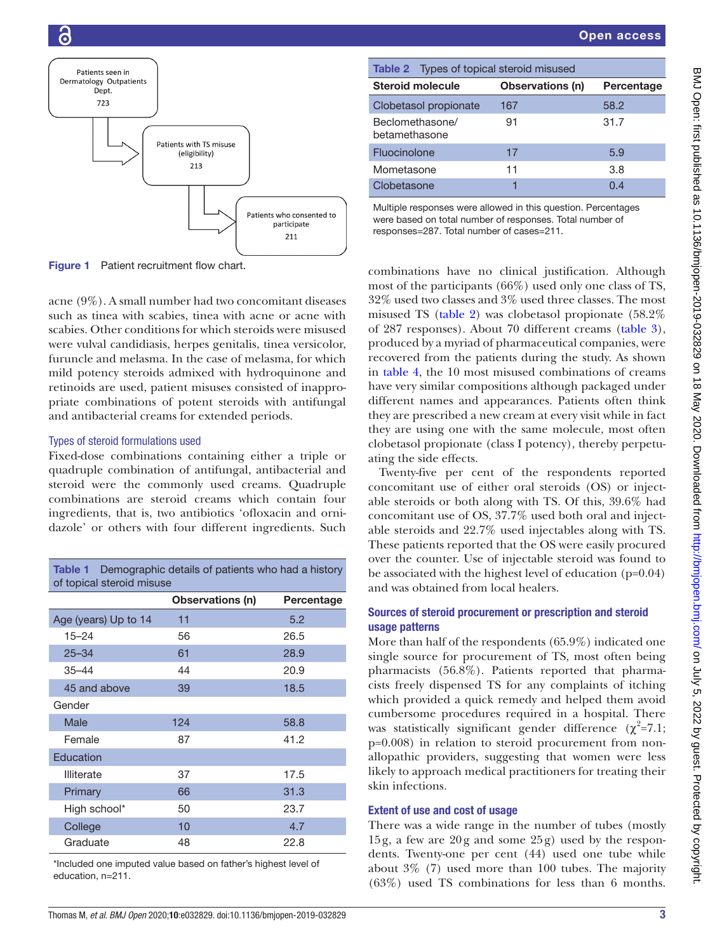

<span id="page-2-0"></span>Figure 1 Patient recruitment flow chart.

acne (9%). A small number had two concomitant diseases such as tinea with scabies, tinea with acne or acne with scabies. Other conditions for which steroids were misused were vulval candidiasis, herpes genitalis, tinea versicolor, furuncle and melasma. In the case of melasma, for which mild potency steroids admixed with hydroquinone and retinoids are used, patient misuses consisted of inappropriate combinations of potent steroids with antifungal and antibacterial creams for extended periods.

# Types of steroid formulations used

Fixed-dose combinations containing either a triple or quadruple combination of antifungal, antibacterial and steroid were the commonly used creams. Quadruple combinations are steroid creams which contain four ingredients, that is, two antibiotics 'ofloxacin and ornidazole' or others with four different ingredients. Such

<span id="page-2-1"></span>

| Demographic details of patients who had a history<br>Table 1<br>of topical steroid misuse |                         |            |  |  |
|-------------------------------------------------------------------------------------------|-------------------------|------------|--|--|
|                                                                                           | <b>Observations (n)</b> | Percentage |  |  |
| Age (years) Up to 14                                                                      | 11                      | 5.2        |  |  |
| $15 - 24$                                                                                 | 56                      | 26.5       |  |  |
| $25 - 34$                                                                                 | 61                      | 28.9       |  |  |
| $35 - 44$                                                                                 | 44                      | 20.9       |  |  |
| 45 and above                                                                              | 39                      | 18.5       |  |  |
| Gender                                                                                    |                         |            |  |  |
| Male                                                                                      | 124                     | 58.8       |  |  |
| Female                                                                                    | 87                      | 41.2       |  |  |
| Education                                                                                 |                         |            |  |  |
| Illiterate                                                                                | 37                      | 17.5       |  |  |
| Primary                                                                                   | 66                      | 31.3       |  |  |
| High school*                                                                              | 50                      | 23.7       |  |  |
| College                                                                                   | 10                      | 4.7        |  |  |
| Graduate                                                                                  | 48                      | 22.8       |  |  |

\*Included one imputed value based on father's highest level of education, n=211.

<span id="page-2-2"></span>

| <b>Table 2</b> Types of topical steroid misused |                  |            |  |  |  |
|-------------------------------------------------|------------------|------------|--|--|--|
| <b>Steroid molecule</b>                         | Observations (n) | Percentage |  |  |  |
| Clobetasol propionate                           | 167              | 58.2       |  |  |  |
| Beclomethasone/<br>betamethasone                | 91               | 31.7       |  |  |  |
| Fluocinolone                                    | 17               | 5.9        |  |  |  |
| Mometasone                                      | 11               | 3.8        |  |  |  |
| Clobetasone                                     |                  | በ 4        |  |  |  |

Multiple responses were allowed in this question. Percentages were based on total number of responses. Total number of responses=287. Total number of cases=211.

combinations have no clinical justification. Although most of the participants (66%) used only one class of TS, 32% used two classes and 3% used three classes. The most misused TS ([table](#page-2-2) 2) was clobetasol propionate (58.2% of 287 responses). About 70 different creams [\(table](#page-3-0) 3), produced by a myriad of pharmaceutical companies, were recovered from the patients during the study. As shown in [table](#page-4-0) 4, the 10 most misused combinations of creams have very similar compositions although packaged under different names and appearances. Patients often think they are prescribed a new cream at every visit while in fact they are using one with the same molecule, most often clobetasol propionate (class I potency), thereby perpetuating the side effects.

Twenty-five per cent of the respondents reported concomitant use of either oral steroids (OS) or injectable steroids or both along with TS. Of this, 39.6% had concomitant use of OS, 37.7% used both oral and injectable steroids and 22.7% used injectables along with TS. These patients reported that the OS were easily procured over the counter. Use of injectable steroid was found to be associated with the highest level of education (p=0.04) and was obtained from local healers.

## Sources of steroid procurement or prescription and steroid usage patterns

More than half of the respondents (65.9%) indicated one single source for procurement of TS, most often being pharmacists (56.8%). Patients reported that pharmacists freely dispensed TS for any complaints of itching which provided a quick remedy and helped them avoid cumbersome procedures required in a hospital. There was statistically significant gender difference  $(\chi^2=7.1;$ p=0.008) in relation to steroid procurement from nonallopathic providers, suggesting that women were less likely to approach medical practitioners for treating their skin infections.

# Extent of use and cost of usage

There was a wide range in the number of tubes (mostly 15g, a few are 20g and some 25g) used by the respondents. Twenty-one per cent (44) used one tube while about 3% (7) used more than 100 tubes. The majority (63%) used TS combinations for less than 6 months.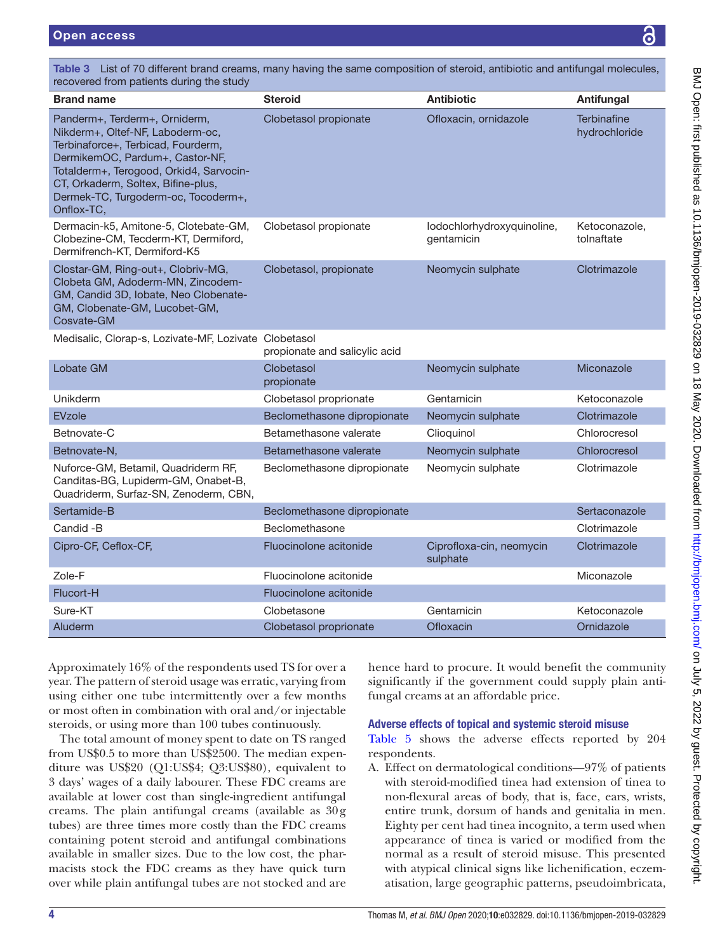| recovered from patients during the study                                                                                                                                                                                                                                         |                               |                                          |                                     |
|----------------------------------------------------------------------------------------------------------------------------------------------------------------------------------------------------------------------------------------------------------------------------------|-------------------------------|------------------------------------------|-------------------------------------|
| Brand name                                                                                                                                                                                                                                                                       | <b>Steroid</b>                | <b>Antibiotic</b>                        | Antifungal                          |
| Panderm+, Terderm+, Orniderm,<br>Nikderm+, Oltef-NF, Laboderm-oc,<br>Terbinaforce+, Terbicad, Fourderm,<br>DermikemOC, Pardum+, Castor-NF,<br>Totalderm+, Terogood, Orkid4, Sarvocin-<br>CT, Orkaderm, Soltex, Bifine-plus,<br>Dermek-TC, Turgoderm-oc, Tocoderm+,<br>Onflox-TC, | Clobetasol propionate         | Ofloxacin, ornidazole                    | <b>Terbinafine</b><br>hydrochloride |
| Dermacin-k5, Amitone-5, Clotebate-GM,<br>Clobezine-CM, Tecderm-KT, Dermiford,<br>Dermifrench-KT, Dermiford-K5                                                                                                                                                                    | Clobetasol propionate         | lodochlorhydroxyquinoline,<br>gentamicin | Ketoconazole,<br>tolnaftate         |
| Clostar-GM, Ring-out+, Clobriv-MG,<br>Clobeta GM, Adoderm-MN, Zincodem-<br>GM, Candid 3D, Iobate, Neo Clobenate-<br>GM, Clobenate-GM, Lucobet-GM,<br>Cosvate-GM                                                                                                                  | Clobetasol, propionate        | Neomycin sulphate                        | Clotrimazole                        |
| Medisalic, Clorap-s, Lozivate-MF, Lozivate Clobetasol                                                                                                                                                                                                                            | propionate and salicylic acid |                                          |                                     |
| Lobate GM                                                                                                                                                                                                                                                                        | Clobetasol<br>propionate      | Neomycin sulphate                        | Miconazole                          |
| Unikderm                                                                                                                                                                                                                                                                         | Clobetasol proprionate        | Gentamicin                               | Ketoconazole                        |
| <b>EVzole</b>                                                                                                                                                                                                                                                                    | Beclomethasone dipropionate   | Neomycin sulphate                        | Clotrimazole                        |
| Betnovate-C                                                                                                                                                                                                                                                                      | Betamethasone valerate        | Clioquinol                               | Chlorocresol                        |
| Betnovate-N,                                                                                                                                                                                                                                                                     | Betamethasone valerate        | Neomycin sulphate                        | Chlorocresol                        |
| Nuforce-GM, Betamil, Quadriderm RF,<br>Canditas-BG, Lupiderm-GM, Onabet-B,<br>Quadriderm, Surfaz-SN, Zenoderm, CBN,                                                                                                                                                              | Beclomethasone dipropionate   | Neomycin sulphate                        | Clotrimazole                        |
| Sertamide-B                                                                                                                                                                                                                                                                      | Beclomethasone dipropionate   |                                          | Sertaconazole                       |
| Candid -B                                                                                                                                                                                                                                                                        | Beclomethasone                |                                          | Clotrimazole                        |
| Cipro-CF, Ceflox-CF,                                                                                                                                                                                                                                                             | Fluocinolone acitonide        | Ciprofloxa-cin, neomycin<br>sulphate     | Clotrimazole                        |
| Zole-F                                                                                                                                                                                                                                                                           | Fluocinolone acitonide        |                                          | Miconazole                          |
| Flucort-H                                                                                                                                                                                                                                                                        | Fluocinolone acitonide        |                                          |                                     |
| Sure-KT                                                                                                                                                                                                                                                                          | Clobetasone                   | Gentamicin                               | Ketoconazole                        |
| Aluderm                                                                                                                                                                                                                                                                          | Clobetasol proprionate        | Ofloxacin                                | Ornidazole                          |

<span id="page-3-0"></span>Table 3 List of 70 different brand creams, many having the same composition of steroid, antibiotic and antifungal molecules,

Approximately 16% of the respondents used TS for over a year. The pattern of steroid usage was erratic, varying from using either one tube intermittently over a few months or most often in combination with oral and/or injectable steroids, or using more than 100 tubes continuously.

The total amount of money spent to date on TS ranged from US\$0.5 to more than US\$2500. The median expenditure was US\$20 (Q1:US\$4; Q3:US\$80), equivalent to 3 days' wages of a daily labourer. These FDC creams are available at lower cost than single-ingredient antifungal creams. The plain antifungal creams (available as 30g tubes) are three times more costly than the FDC creams containing potent steroid and antifungal combinations available in smaller sizes. Due to the low cost, the pharmacists stock the FDC creams as they have quick turn over while plain antifungal tubes are not stocked and are

hence hard to procure. It would benefit the community significantly if the government could supply plain antifungal creams at an affordable price.

# Adverse effects of topical and systemic steroid misuse

[Table](#page-4-1) 5 shows the adverse effects reported by 204 respondents.

A. Effect on dermatological conditions—97% of patients with steroid-modified tinea had extension of tinea to non-flexural areas of body, that is, face, ears, wrists, entire trunk, dorsum of hands and genitalia in men. Eighty per cent had tinea incognito, a term used when appearance of tinea is varied or modified from the normal as a result of steroid misuse. This presented with atypical clinical signs like lichenification, eczematisation, large geographic patterns, pseudoimbricata,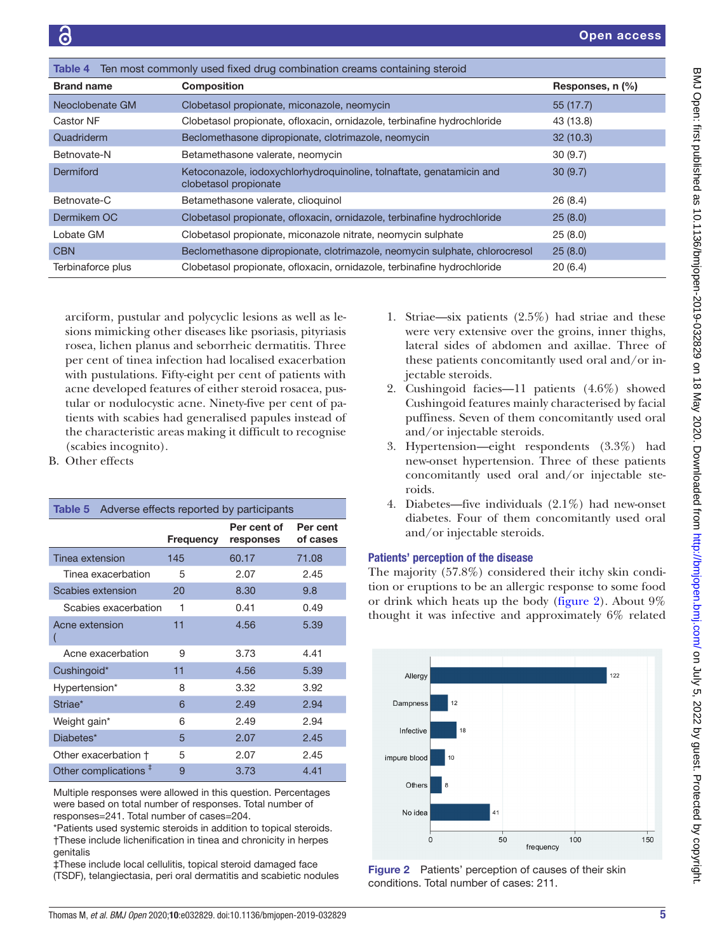<span id="page-4-0"></span>

| Ten most commonly used fixed drug combination creams containing steroid<br>Table 4 |                                                                                               |                  |  |
|------------------------------------------------------------------------------------|-----------------------------------------------------------------------------------------------|------------------|--|
| <b>Brand name</b>                                                                  | <b>Composition</b>                                                                            | Responses, n (%) |  |
| Neoclobenate GM                                                                    | Clobetasol propionate, miconazole, neomycin                                                   | 55(17.7)         |  |
| Castor NF                                                                          | Clobetasol propionate, ofloxacin, ornidazole, terbinafine hydrochloride                       | 43 (13.8)        |  |
| Quadriderm                                                                         | Beclomethasone dipropionate, clotrimazole, neomycin                                           | 32(10.3)         |  |
| Betnovate-N                                                                        | Betamethasone valerate, neomycin                                                              | 30(9.7)          |  |
| Dermiford                                                                          | Ketoconazole, iodoxychlorhydroquinoline, tolnaftate, genatamicin and<br>clobetasol propionate | 30(9.7)          |  |
| Betnovate-C                                                                        | Betamethasone valerate, clioquinol                                                            | 26(8.4)          |  |
| Dermikem OC                                                                        | Clobetasol propionate, ofloxacin, ornidazole, terbinafine hydrochloride                       | 25(8.0)          |  |
| Lobate GM                                                                          | Clobetasol propionate, miconazole nitrate, neomycin sulphate                                  | 25(8.0)          |  |
| <b>CBN</b>                                                                         | Beclomethasone dipropionate, clotrimazole, neomycin sulphate, chlorocresol                    | 25(8.0)          |  |
| Terbinaforce plus                                                                  | Clobetasol propionate, ofloxacin, ornidazole, terbinafine hydrochloride                       | 20(6.4)          |  |

arciform, pustular and polycyclic lesions as well as lesions mimicking other diseases like psoriasis, pityriasis rosea, lichen planus and seborrheic dermatitis. Three per cent of tinea infection had localised exacerbation with pustulations. Fifty-eight per cent of patients with acne developed features of either steroid rosacea, pustular or nodulocystic acne. Ninety-five per cent of patients with scabies had generalised papules instead of the characteristic areas making it difficult to recognise (scabies incognito).

B. Other effects

<span id="page-4-1"></span>

| Adverse effects reported by participants<br>Table 5 |           |                          |                      |  |
|-----------------------------------------------------|-----------|--------------------------|----------------------|--|
|                                                     | Frequency | Per cent of<br>responses | Per cent<br>of cases |  |
| Tinea extension                                     | 145       | 60.17                    | 71.08                |  |
| Tinea exacerbation                                  | 5         | 2.07                     | 2.45                 |  |
| Scabies extension                                   | 20        | 8.30                     | 9.8                  |  |
| Scabies exacerbation                                | 1         | 0.41                     | 0.49                 |  |
| Acne extension                                      | 11        | 4.56                     | 5.39                 |  |
| Acne exacerbation                                   | 9         | 3.73                     | 4.41                 |  |
| Cushingoid*                                         | 11        | 4.56                     | 5.39                 |  |
| Hypertension*                                       | 8         | 3.32                     | 3.92                 |  |
| Striae*                                             | 6         | 2.49                     | 2.94                 |  |
| Weight gain*                                        | 6         | 2.49                     | 2.94                 |  |
| Diabetes*                                           | 5         | 2.07                     | 2.45                 |  |
| Other exacerbation +                                | 5         | 2.07                     | 2.45                 |  |
| Other complications $‡$                             | 9         | 3.73                     | 4.41                 |  |

Multiple responses were allowed in this question. Percentages were based on total number of responses. Total number of responses=241. Total number of cases=204.

\*Patients used systemic steroids in addition to topical steroids. †These include lichenification in tinea and chronicity in herpes genitalis

‡These include local cellulitis, topical steroid damaged face (TSDF), telangiectasia, peri oral dermatitis and scabietic nodules

- 1. Striae—six patients (2.5%) had striae and these were very extensive over the groins, inner thighs, lateral sides of abdomen and axillae. Three of these patients concomitantly used oral and/or injectable steroids.
- 2. Cushingoid facies—11 patients (4.6%) showed Cushingoid features mainly characterised by facial puffiness. Seven of them concomitantly used oral and/or injectable steroids.
- 3. Hypertension—eight respondents (3.3%) had new-onset hypertension. Three of these patients concomitantly used oral and/or injectable steroids.
- 4. Diabetes—five individuals (2.1%) had new-onset diabetes. Four of them concomitantly used oral and/or injectable steroids.

## Patients' perception of the disease

The majority (57.8%) considered their itchy skin condition or eruptions to be an allergic response to some food or drink which heats up the body ([figure](#page-4-2) 2). About 9% thought it was infective and approximately 6% related



<span id="page-4-2"></span>Figure 2 Patients' perception of causes of their skin conditions. Total number of cases: 211.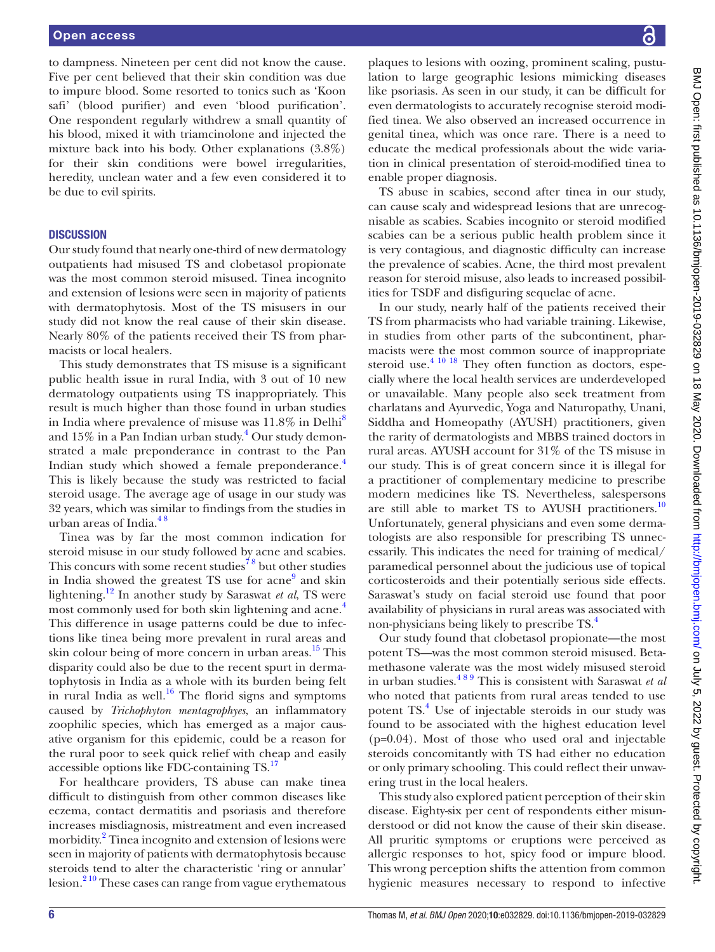to dampness. Nineteen per cent did not know the cause. Five per cent believed that their skin condition was due to impure blood. Some resorted to tonics such as 'Koon safi' (blood purifier) and even 'blood purification'. One respondent regularly withdrew a small quantity of his blood, mixed it with triamcinolone and injected the mixture back into his body. Other explanations (3.8%) for their skin conditions were bowel irregularities, heredity, unclean water and a few even considered it to be due to evil spirits.

### **DISCUSSION**

Our study found that nearly one-third of new dermatology outpatients had misused TS and clobetasol propionate was the most common steroid misused. Tinea incognito and extension of lesions were seen in majority of patients with dermatophytosis. Most of the TS misusers in our study did not know the real cause of their skin disease. Nearly 80% of the patients received their TS from pharmacists or local healers.

This study demonstrates that TS misuse is a significant public health issue in rural India, with 3 out of 10 new dermatology outpatients using TS inappropriately. This result is much higher than those found in urban studies in India where prevalence of misuse was  $11.8\%$  $11.8\%$  $11.8\%$  in Delhi<sup>8</sup> and  $15\%$  in a Pan Indian urban study. $^4$  $^4$  Our study demonstrated a male preponderance in contrast to the Pan Indian study which showed a female preponderance.<sup>[4](#page-6-5)</sup> This is likely because the study was restricted to facial steroid usage. The average age of usage in our study was 32 years, which was similar to findings from the studies in urban areas of India. $48$ 

Tinea was by far the most common indication for steroid misuse in our study followed by acne and scabies. This concurs with some recent studies<sup>78</sup> but other studies in India showed the greatest TS use for acne<sup>[9](#page-6-8)</sup> and skin lightening[.12](#page-7-2) In another study by Saraswat *et al*, TS were most commonly used for both skin lightening and acne.<sup>[4](#page-6-5)</sup> This difference in usage patterns could be due to infections like tinea being more prevalent in rural areas and skin colour being of more concern in urban areas.<sup>15</sup> This disparity could also be due to the recent spurt in dermatophytosis in India as a whole with its burden being felt in rural India as well. $16$  The florid signs and symptoms caused by *Trichophyton mentagrophyes*, an inflammatory zoophilic species, which has emerged as a major causative organism for this epidemic, could be a reason for the rural poor to seek quick relief with cheap and easily accessible options like FDC-containing TS.[17](#page-7-5)

For healthcare providers, TS abuse can make tinea difficult to distinguish from other common diseases like eczema, contact dermatitis and psoriasis and therefore increases misdiagnosis, mistreatment and even increased morbidity.<sup>2</sup> Tinea incognito and extension of lesions were seen in majority of patients with dermatophytosis because steroids tend to alter the characteristic 'ring or annular' lesion. $2^{10}$  These cases can range from vague erythematous

plaques to lesions with oozing, prominent scaling, pustulation to large geographic lesions mimicking diseases like psoriasis. As seen in our study, it can be difficult for even dermatologists to accurately recognise steroid modified tinea. We also observed an increased occurrence in genital tinea, which was once rare. There is a need to educate the medical professionals about the wide variation in clinical presentation of steroid-modified tinea to enable proper diagnosis.

TS abuse in scabies, second after tinea in our study, can cause scaly and widespread lesions that are unrecognisable as scabies. Scabies incognito or steroid modified scabies can be a serious public health problem since it is very contagious, and diagnostic difficulty can increase the prevalence of scabies. Acne, the third most prevalent reason for steroid misuse, also leads to increased possibilities for TSDF and disfiguring sequelae of acne.

In our study, nearly half of the patients received their TS from pharmacists who had variable training. Likewise, in studies from other parts of the subcontinent, pharmacists were the most common source of inappropriate steroid use. $4^{10}$  18 They often function as doctors, especially where the local health services are underdeveloped or unavailable. Many people also seek treatment from charlatans and Ayurvedic, Yoga and Naturopathy, Unani, Siddha and Homeopathy (AYUSH) practitioners, given the rarity of dermatologists and MBBS trained doctors in rural areas. AYUSH account for 31% of the TS misuse in our study. This is of great concern since it is illegal for a practitioner of complementary medicine to prescribe modern medicines like TS. Nevertheless, salespersons are still able to market TS to AYUSH practitioners.<sup>[10](#page-7-6)</sup> Unfortunately, general physicians and even some dermatologists are also responsible for prescribing TS unnecessarily. This indicates the need for training of medical/ paramedical personnel about the judicious use of topical corticosteroids and their potentially serious side effects. Saraswat's study on facial steroid use found that poor availability of physicians in rural areas was associated with non-physicians being likely to prescribe TS.<sup>4</sup>

Our study found that clobetasol propionate—the most potent TS—was the most common steroid misused. Betamethasone valerate was the most widely misused steroid in urban studies.[4 8 9](#page-6-5) This is consistent with Saraswat *et al* who noted that patients from rural areas tended to use potent TS.<sup>[4](#page-6-5)</sup> Use of injectable steroids in our study was found to be associated with the highest education level (p=0.04). Most of those who used oral and injectable steroids concomitantly with TS had either no education or only primary schooling. This could reflect their unwavering trust in the local healers.

This study also explored patient perception of their skin disease. Eighty-six per cent of respondents either misunderstood or did not know the cause of their skin disease. All pruritic symptoms or eruptions were perceived as allergic responses to hot, spicy food or impure blood. This wrong perception shifts the attention from common hygienic measures necessary to respond to infective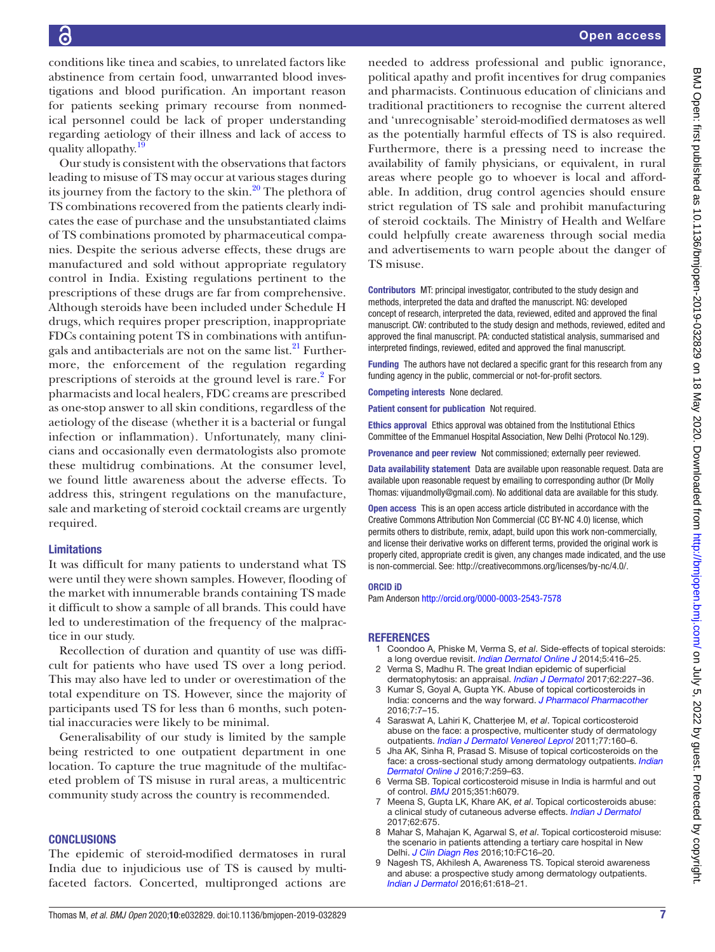conditions like tinea and scabies, to unrelated factors like abstinence from certain food, unwarranted blood investigations and blood purification. An important reason for patients seeking primary recourse from nonmedical personnel could be lack of proper understanding regarding aetiology of their illness and lack of access to quality allopathy.

Our study is consistent with the observations that factors leading to misuse of TS may occur at various stages during its journey from the factory to the skin. $^{20}$  The plethora of TS combinations recovered from the patients clearly indicates the ease of purchase and the unsubstantiated claims of TS combinations promoted by pharmaceutical companies. Despite the serious adverse effects, these drugs are manufactured and sold without appropriate regulatory control in India. Existing regulations pertinent to the prescriptions of these drugs are far from comprehensive. Although steroids have been included under Schedule H drugs, which requires proper prescription, inappropriate FDCs containing potent TS in combinations with antifungals and antibacterials are not on the same list. $^{21}$  Furthermore, the enforcement of the regulation regarding prescriptions of steroids at the ground level is rare.<sup>[2](#page-6-1)</sup> For pharmacists and local healers, FDC creams are prescribed as one-stop answer to all skin conditions, regardless of the aetiology of the disease (whether it is a bacterial or fungal infection or inflammation). Unfortunately, many clinicians and occasionally even dermatologists also promote these multidrug combinations. At the consumer level, we found little awareness about the adverse effects. To address this, stringent regulations on the manufacture, sale and marketing of steroid cocktail creams are urgently required.

#### Limitations

It was difficult for many patients to understand what TS were until they were shown samples. However, flooding of the market with innumerable brands containing TS made it difficult to show a sample of all brands. This could have led to underestimation of the frequency of the malpractice in our study.

Recollection of duration and quantity of use was difficult for patients who have used TS over a long period. This may also have led to under or overestimation of the total expenditure on TS. However, since the majority of participants used TS for less than 6 months, such potential inaccuracies were likely to be minimal.

Generalisability of our study is limited by the sample being restricted to one outpatient department in one location. To capture the true magnitude of the multifaceted problem of TS misuse in rural areas, a multicentric community study across the country is recommended.

#### **CONCLUSIONS**

The epidemic of steroid-modified dermatoses in rural India due to injudicious use of TS is caused by multifaceted factors. Concerted, multipronged actions are needed to address professional and public ignorance, political apathy and profit incentives for drug companies and pharmacists. Continuous education of clinicians and traditional practitioners to recognise the current altered and 'unrecognisable' steroid-modified dermatoses as well as the potentially harmful effects of TS is also required. Furthermore, there is a pressing need to increase the availability of family physicians, or equivalent, in rural areas where people go to whoever is local and affordable. In addition, drug control agencies should ensure strict regulation of TS sale and prohibit manufacturing of steroid cocktails. The Ministry of Health and Welfare could helpfully create awareness through social media and advertisements to warn people about the danger of TS misuse.

Contributors MT: principal investigator, contributed to the study design and methods, interpreted the data and drafted the manuscript. NG: developed concept of research, interpreted the data, reviewed, edited and approved the final manuscript. CW: contributed to the study design and methods, reviewed, edited and approved the final manuscript. PA: conducted statistical analysis, summarised and interpreted findings, reviewed, edited and approved the final manuscript.

Funding The authors have not declared a specific grant for this research from any funding agency in the public, commercial or not-for-profit sectors.

Competing interests None declared.

Patient consent for publication Not required.

Ethics approval Ethics approval was obtained from the Institutional Ethics Committee of the Emmanuel Hospital Association, New Delhi (Protocol No.129).

Provenance and peer review Not commissioned; externally peer reviewed.

Data availability statement Data are available upon reasonable request. Data are available upon reasonable request by emailing to corresponding author (Dr Molly Thomas: vijuandmolly@gmail.com). No additional data are available for this study.

Open access This is an open access article distributed in accordance with the Creative Commons Attribution Non Commercial (CC BY-NC 4.0) license, which permits others to distribute, remix, adapt, build upon this work non-commercially, and license their derivative works on different terms, provided the original work is properly cited, appropriate credit is given, any changes made indicated, and the use is non-commercial. See: [http://creativecommons.org/licenses/by-nc/4.0/.](http://creativecommons.org/licenses/by-nc/4.0/)

#### ORCID iD

Pam Anderson <http://orcid.org/0000-0003-2543-7578>

#### **REFERENCES**

- <span id="page-6-0"></span>1 Coondoo A, Phiske M, Verma S, *et al*. Side-effects of topical steroids: a long overdue revisit. *[Indian Dermatol Online J](http://dx.doi.org/10.4103/2229-5178.142483)* 2014;5:416–25.
- <span id="page-6-1"></span>Verma S, Madhu R. The great Indian epidemic of superficial dermatophytosis: an appraisal. *[Indian J Dermatol](http://dx.doi.org/10.4103/ijd.IJD_206_17)* 2017;62:227–36.
- <span id="page-6-2"></span>Kumar S, Goyal A, Gupta YK. Abuse of topical corticosteroids in India: concerns and the way forward. *[J Pharmacol Pharmacother](http://dx.doi.org/10.4103/0976-500X.179364)* 2016;7:7–15.
- <span id="page-6-5"></span>4 Saraswat A, Lahiri K, Chatterjee M, *et al*. Topical corticosteroid abuse on the face: a prospective, multicenter study of dermatology outpatients. *[Indian J Dermatol Venereol Leprol](http://dx.doi.org/10.4103/0378-6323.77455)* 2011;77:160–6.
- <span id="page-6-4"></span>5 Jha AK, Sinha R, Prasad S. Misuse of topical corticosteroids on the face: a cross-sectional study among dermatology outpatients. *[Indian](http://dx.doi.org/10.4103/2229-5178.185492)  [Dermatol Online J](http://dx.doi.org/10.4103/2229-5178.185492)* 2016;7:259–63.
- <span id="page-6-3"></span>Verma SB. Topical corticosteroid misuse in India is harmful and out of control. *[BMJ](http://dx.doi.org/10.1136/bmj.h6079)* 2015;351:h6079.
- <span id="page-6-6"></span>7 Meena S, Gupta LK, Khare AK, *et al*. Topical corticosteroids abuse: a clinical study of cutaneous adverse effects. *[Indian J Dermatol](http://dx.doi.org/10.4103/ijd.IJD_110_17)* 2017;62:675.
- <span id="page-6-7"></span>8 Mahar S, Mahajan K, Agarwal S, *et al*. Topical corticosteroid misuse: the scenario in patients attending a tertiary care hospital in New Delhi. *[J Clin Diagn Res](http://dx.doi.org/10.7860/JCDR/2016/23419.8986)* 2016;10:FC16–20.
- <span id="page-6-8"></span>9 Nagesh TS, Akhilesh A, Awareness TS. Topical steroid awareness and abuse: a prospective study among dermatology outpatients. *[Indian J Dermatol](http://dx.doi.org/10.4103/0019-5154.193666)* 2016;61:618–21.